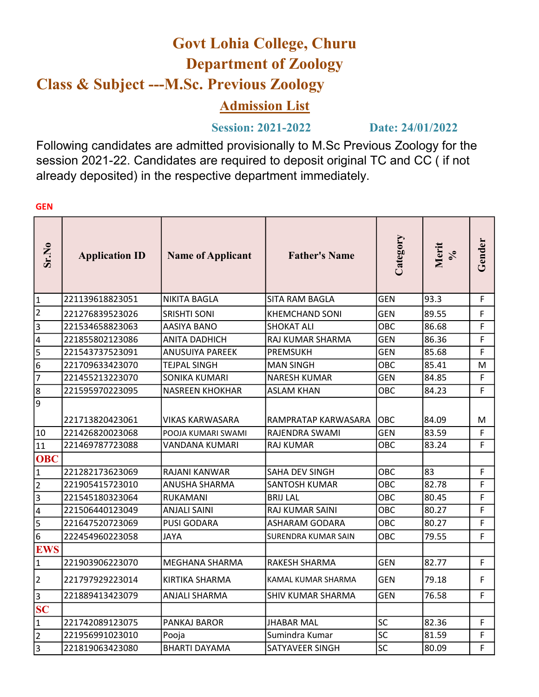## Govt Lohia College, Churu Department of Zoology Class & Subject ---M.Sc. Previous Zoology

## Admission List

## Session: 2021-2022 Date: 24/01/2022

Following candidates are admitted provisionally to M.Sc Previous Zoology for the session 2021-22. Candidates are required to deposit original TC and CC ( if not already deposited) in the respective department immediately.

| Sr.No                                | <b>Application ID</b>              | <b>Name of Applicant</b>              | <b>Father's Name</b>                  | Category           | Merit<br>$\sqrt{6}$ | Gender |
|--------------------------------------|------------------------------------|---------------------------------------|---------------------------------------|--------------------|---------------------|--------|
| 1                                    | 221139618823051                    | NIKITA BAGLA                          | <b>SITA RAM BAGLA</b>                 | <b>GEN</b>         | 93.3                | F.     |
| $\overline{\mathbf{c}}$              | 221276839523026                    | <b>SRISHTI SONI</b>                   | KHEMCHAND SONI                        | <b>GEN</b>         | 89.55               | F      |
| 3                                    | 221534658823063                    | AASIYA BANO                           | <b>SHOKAT ALI</b>                     | OBC                | 86.68               | F      |
| 4                                    | 221855802123086                    | <b>ANITA DADHICH</b>                  | RAJ KUMAR SHARMA                      | <b>GEN</b>         | 86.36               | F.     |
| 5                                    | 221543737523091                    | <b>ANUSUIYA PAREEK</b>                | <b>PREMSUKH</b>                       | <b>GEN</b>         | 85.68               | F      |
| 6                                    | 221709633423070                    | <b>TEJPAL SINGH</b>                   | <b>MAN SINGH</b>                      | OBC                | 85.41               | M      |
| $\overline{7}$                       | 221455213223070                    | SONIKA KUMARI                         | <b>NARESH KUMAR</b>                   | <b>GEN</b>         | 84.85               | F.     |
| $\overline{8}$                       | 221595970223095                    | <b>NASREEN KHOKHAR</b>                | <b>ASLAM KHAN</b>                     | OBC                | 84.23               | F      |
| $\overline{9}$<br>10                 | 221713820423061<br>221426820023068 | VIKAS KARWASARA<br>POOJA KUMARI SWAMI | RAMPRATAP KARWASARA<br>RAJENDRA SWAMI | Іовс<br><b>GEN</b> | 84.09<br>83.59      | M<br>F |
| 11                                   | 221469787723088                    | VANDANA KUMARI                        | RAJ KUMAR                             | OBC                | 83.24               | F.     |
| <b>OBC</b>                           |                                    |                                       |                                       |                    |                     |        |
| 1                                    | 221282173623069                    | RAJANI KANWAR                         | SAHA DEV SINGH                        | OBC                | 83                  | F.     |
| $\overline{2}$                       | 221905415723010                    | ANUSHA SHARMA                         | <b>SANTOSH KUMAR</b>                  | OBC                | 82.78               | F      |
| $\overline{\overline{\overline{3}}}$ | 221545180323064                    | RUKAMANI                              | <b>BRIJ LAL</b>                       | OBC                | 80.45               | F      |
| 4                                    | 221506440123049                    | <b>ANJALI SAINI</b>                   | RAJ KUMAR SAINI                       | OBC                | 80.27               | F.     |
| 5                                    | 221647520723069                    | <b>PUSI GODARA</b>                    | <b>ASHARAM GODARA</b>                 | OBC                | 80.27               | F.     |
| 6                                    | 222454960223058                    | <b>JAYA</b>                           | SURENDRA KUMAR SAIN                   | OBC                | 79.55               | F.     |
| <b>EWS</b>                           |                                    |                                       |                                       |                    |                     |        |
| 1                                    | 221903906223070                    | MEGHANA SHARMA                        | RAKESH SHARMA                         | <b>GEN</b>         | 82.77               | F      |
| 2                                    | 221797929223014                    | <b>KIRTIKA SHARMA</b>                 | KAMAL KUMAR SHARMA                    | <b>GEN</b>         | 79.18               | F.     |
| 3                                    | 221889413423079                    | <b>ANJALI SHARMA</b>                  | SHIV KUMAR SHARMA                     | <b>GEN</b>         | 76.58               | F.     |
| $\overline{\mathbf{SC}}$             |                                    |                                       |                                       |                    |                     |        |
| $\mathbf 1$                          | 221742089123075                    | <b>PANKAJ BAROR</b>                   | <b>JHABAR MAL</b>                     | <b>SC</b>          | 82.36               | F      |
| $\overline{2}$                       | 221956991023010                    | Pooja                                 | Sumindra Kumar                        | SC                 | 81.59               | F.     |
| 3                                    | 221819063423080                    | <b>BHARTI DAYAMA</b>                  | SATYAVEER SINGH                       | <b>SC</b>          | 80.09               | F      |

**GEN**